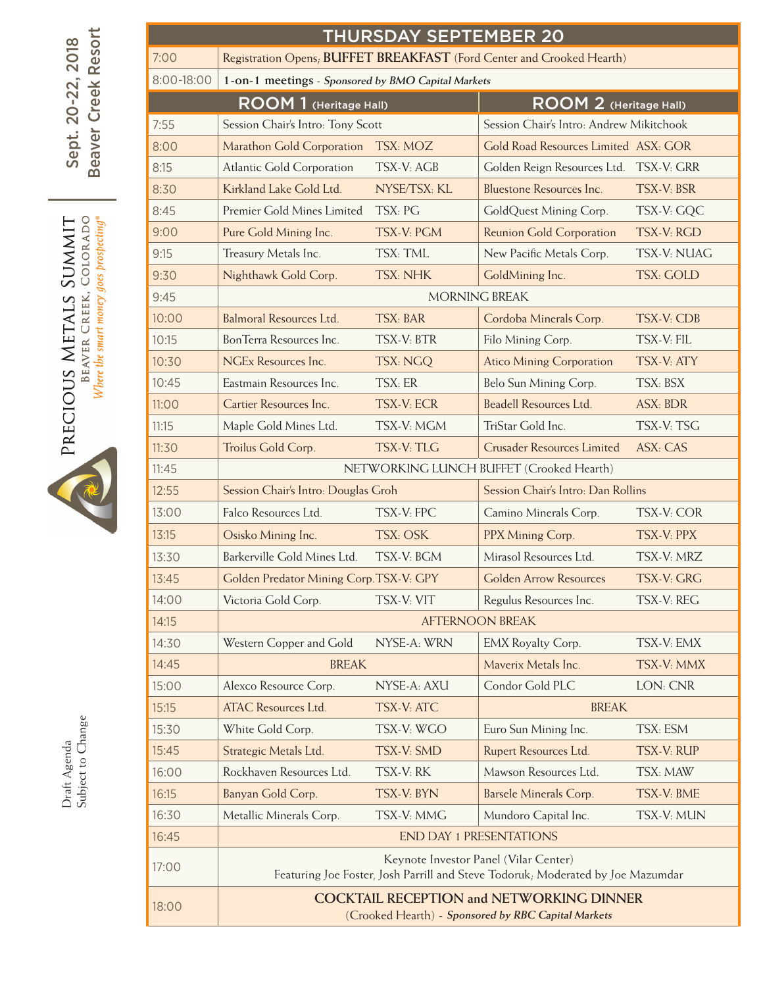| Resort                                                               | <b>THURSDAY SEPTEMBER 20</b> |                                                                                                                          |                                |                                          |                   |  |  |  |  |
|----------------------------------------------------------------------|------------------------------|--------------------------------------------------------------------------------------------------------------------------|--------------------------------|------------------------------------------|-------------------|--|--|--|--|
| Sept. 20-22, 2018<br>Creek<br>eaver<br>മ                             | 7:00                         | Registration Opens, BUFFET BREAKFAST (Ford Center and Crooked Hearth)                                                    |                                |                                          |                   |  |  |  |  |
|                                                                      | 8:00-18:00                   | 1-on-1 meetings - Sponsored by BMO Capital Markets                                                                       |                                |                                          |                   |  |  |  |  |
|                                                                      |                              | ROOM 1 (Heritage Hall)<br>ROOM 2 (Heritage Hall)                                                                         |                                |                                          |                   |  |  |  |  |
|                                                                      | 7:55                         | Session Chair's Intro: Tony Scott                                                                                        |                                | Session Chair's Intro: Andrew Mikitchook |                   |  |  |  |  |
|                                                                      | 8:00                         | Marathon Gold Corporation                                                                                                | TSX: MOZ                       | Gold Road Resources Limited ASX: GOR     |                   |  |  |  |  |
|                                                                      | 8:15                         | <b>Atlantic Gold Corporation</b>                                                                                         | <b>TSX-V: AGB</b>              | Golden Reign Resources Ltd. TSX-V: GRR   |                   |  |  |  |  |
|                                                                      | 8:30                         | Kirkland Lake Gold Ltd.                                                                                                  | NYSE/TSX: KL                   | <b>Bluestone Resources Inc.</b>          | TSX-V: BSR        |  |  |  |  |
| Where the smart money goes prospecting®<br>COLORADO<br><b>SUMMIT</b> | 8:45                         | Premier Gold Mines Limited                                                                                               | TSX: PG                        | GoldQuest Mining Corp.                   | TSX-V: GQC        |  |  |  |  |
|                                                                      | 9:00                         | Pure Gold Mining Inc.                                                                                                    | TSX-V: PGM                     | Reunion Gold Corporation                 | TSX-V: RGD        |  |  |  |  |
|                                                                      | 9:15                         | Treasury Metals Inc.                                                                                                     | TSX: TML                       | New Pacific Metals Corp.                 | TSX-V: NUAG       |  |  |  |  |
|                                                                      | 9:30                         | Nighthawk Gold Corp.                                                                                                     | <b>TSX: NHK</b>                | GoldMining Inc.                          | <b>TSX: GOLD</b>  |  |  |  |  |
| BEAVER CREEK,                                                        | 9:45                         |                                                                                                                          | MORNING BREAK                  |                                          |                   |  |  |  |  |
|                                                                      | 10:00                        | Balmoral Resources Ltd.                                                                                                  | <b>TSX: BAR</b>                | Cordoba Minerals Corp.                   | <b>TSX-V: CDB</b> |  |  |  |  |
|                                                                      | 10:15                        | BonTerra Resources Inc.                                                                                                  | <b>TSX-V: BTR</b>              | Filo Mining Corp.                        | TSX-V: FIL        |  |  |  |  |
|                                                                      | 10:30                        | <b>NGEx Resources Inc.</b>                                                                                               | TSX: NGQ                       | <b>Atico Mining Corporation</b>          | TSX-V: ATY        |  |  |  |  |
|                                                                      | 10:45                        | Eastmain Resources Inc.                                                                                                  | TSX: ER                        | Belo Sun Mining Corp.                    | TSX: BSX          |  |  |  |  |
| PRECIOUS METALS                                                      | 11:00                        | Cartier Resources Inc.                                                                                                   | <b>TSX-V: ECR</b>              | Beadell Resources Ltd.                   | <b>ASX: BDR</b>   |  |  |  |  |
|                                                                      | 11:15                        | Maple Gold Mines Ltd.                                                                                                    | TSX-V: MGM                     | TriStar Gold Inc.                        | TSX-V: TSG        |  |  |  |  |
|                                                                      | 11:30                        | Troilus Gold Corp.                                                                                                       | TSX-V: TLG                     | Crusader Resources Limited               | ASX: CAS          |  |  |  |  |
|                                                                      | 11:45                        |                                                                                                                          |                                | NETWORKING LUNCH BUFFET (Crooked Hearth) |                   |  |  |  |  |
|                                                                      | 12:55                        | Session Chair's Intro: Douglas Groh                                                                                      |                                | Session Chair's Intro: Dan Rollins       |                   |  |  |  |  |
|                                                                      | 13:00                        | Falco Resources Ltd.                                                                                                     | TSX-V: FPC                     | Camino Minerals Corp.                    | TSX-V: COR        |  |  |  |  |
|                                                                      | 13:15                        | Osisko Mining Inc.                                                                                                       | TSX: OSK                       | PPX Mining Corp.                         | TSX-V: PPX        |  |  |  |  |
|                                                                      | 13:30                        | Barkerville Gold Mines Ltd.                                                                                              | TSX-V: BGM                     | Mirasol Resources Ltd.                   | TSX-V: MRZ        |  |  |  |  |
|                                                                      | 13:45                        | Golden Predator Mining Corp.TSX-V: GPY                                                                                   |                                | <b>Golden Arrow Resources</b>            | TSX-V: GRG        |  |  |  |  |
|                                                                      | 14:00                        | Victoria Gold Corp.                                                                                                      | TSX-V: VIT                     | Regulus Resources Inc.                   | TSX-V: REG        |  |  |  |  |
|                                                                      | 14:15                        |                                                                                                                          |                                | <b>AFTERNOON BREAK</b>                   |                   |  |  |  |  |
|                                                                      | 14:30                        | Western Copper and Gold                                                                                                  | NYSE-A: WRN                    | EMX Royalty Corp.                        | TSX-V: EMX        |  |  |  |  |
|                                                                      | 14:45                        | <b>BREAK</b>                                                                                                             |                                | Maverix Metals Inc.                      | TSX-V: MMX        |  |  |  |  |
|                                                                      | 15:00                        | Alexco Resource Corp.                                                                                                    | NYSE-A: AXU                    | Condor Gold PLC                          | LON: CNR          |  |  |  |  |
|                                                                      | 15:15                        | <b>ATAC Resources Ltd.</b>                                                                                               | TSX-V: ATC                     | <b>BREAK</b>                             |                   |  |  |  |  |
| Subject to Change                                                    | 15:30                        | White Gold Corp.                                                                                                         | TSX-V: WGO                     | Euro Sun Mining Inc.                     | TSX: ESM          |  |  |  |  |
| Draft Agenda                                                         | 15:45                        | Strategic Metals Ltd.                                                                                                    | TSX-V: SMD                     | Rupert Resources Ltd.                    | TSX-V: RUP        |  |  |  |  |
|                                                                      | 16:00                        | Rockhaven Resources Ltd.                                                                                                 | TSX-V: RK                      | Mawson Resources Ltd.                    | TSX: MAW          |  |  |  |  |
|                                                                      | 16:15                        | Banyan Gold Corp.                                                                                                        | TSX-V: BYN                     | <b>Barsele Minerals Corp.</b>            | TSX-V: BME        |  |  |  |  |
|                                                                      | 16:30                        | Metallic Minerals Corp.                                                                                                  | TSX-V: MMG                     | Mundoro Capital Inc.                     | TSX-V: MUN        |  |  |  |  |
|                                                                      | 16:45                        |                                                                                                                          | <b>END DAY 1 PRESENTATIONS</b> |                                          |                   |  |  |  |  |
|                                                                      | 17:00                        | Keynote Investor Panel (Vilar Center)<br>Featuring Joe Foster, Josh Parrill and Steve Todoruk; Moderated by Joe Mazumdar |                                |                                          |                   |  |  |  |  |
|                                                                      | 18:00                        | <b>COCKTAIL RECEPTION and NETWORKING DINNER</b><br>(Crooked Hearth) - Sponsored by RBC Capital Markets                   |                                |                                          |                   |  |  |  |  |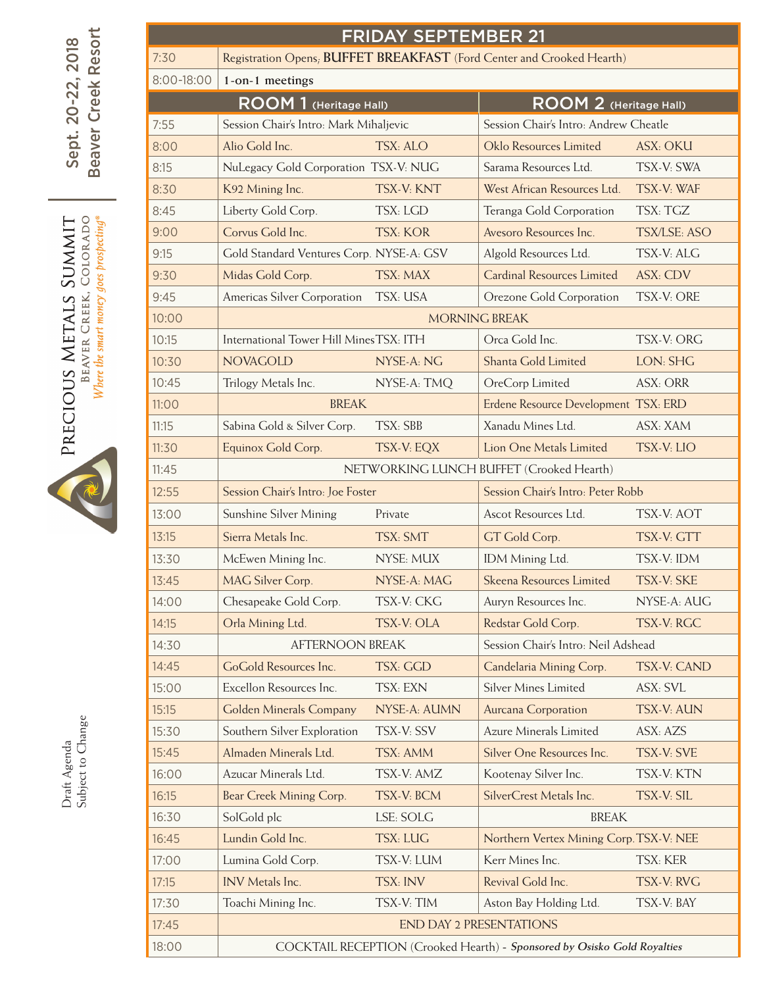Beaver Creek Resort Beaver Creek Resort Sept. 20-22, 2018 Sept. 20-22, 2018





Draft Agenda<br>Subject to Change Subject to ChangeDraft Agenda

| <b>FRIDAY SEPTEMBER 21</b> |                                                                          |                 |                                         |                     |  |  |  |  |  |
|----------------------------|--------------------------------------------------------------------------|-----------------|-----------------------------------------|---------------------|--|--|--|--|--|
| 7:30                       | Registration Opens, BUFFET BREAKFAST (Ford Center and Crooked Hearth)    |                 |                                         |                     |  |  |  |  |  |
| 8:00-18:00                 | 1-on-1 meetings                                                          |                 |                                         |                     |  |  |  |  |  |
|                            | ROOM 1 (Heritage Hall)                                                   |                 | ROOM 2 (Heritage Hall)                  |                     |  |  |  |  |  |
| 7:55                       | Session Chair's Intro: Mark Mihaljevic                                   |                 | Session Chair's Intro: Andrew Cheatle   |                     |  |  |  |  |  |
| 8:00                       | Alio Gold Inc.                                                           | TSX: ALO        | Oklo Resources Limited                  | ASX: OKU            |  |  |  |  |  |
| 8:15                       | NuLegacy Gold Corporation TSX-V: NUG                                     |                 | Sarama Resources Ltd.                   | TSX-V: SWA          |  |  |  |  |  |
| 8:30                       | K92 Mining Inc.                                                          | TSX-V: KNT      | West African Resources Ltd.             | TSX-V: WAF          |  |  |  |  |  |
| 8:45                       | Liberty Gold Corp.                                                       | TSX: LGD        | Teranga Gold Corporation                | TSX: TGZ            |  |  |  |  |  |
| 9:00                       | Corvus Gold Inc.                                                         | <b>TSX: KOR</b> | Avesoro Resources Inc.                  | <b>TSX/LSE: ASO</b> |  |  |  |  |  |
| 9:15                       | Gold Standard Ventures Corp. NYSE-A: GSV                                 |                 | Algold Resources Ltd.                   | TSX-V: ALG          |  |  |  |  |  |
| 9:30                       | Midas Gold Corp.                                                         | TSX: MAX        | Cardinal Resources Limited              | <b>ASX: CDV</b>     |  |  |  |  |  |
| 9:45                       | Americas Silver Corporation                                              | TSX: USA        | Orezone Gold Corporation                | TSX-V: ORE          |  |  |  |  |  |
| 10:00                      |                                                                          |                 | <b>MORNING BREAK</b>                    |                     |  |  |  |  |  |
| 10:15                      | International Tower Hill Mines TSX: ITH                                  |                 | Orca Gold Inc.<br>TSX-V: ORG            |                     |  |  |  |  |  |
| 10:30                      | <b>NOVAGOLD</b>                                                          | NYSE-A: NG      | Shanta Gold Limited                     | LON: SHG            |  |  |  |  |  |
| 10:45                      | Trilogy Metals Inc.                                                      | NYSE-A: TMQ     | OreCorp Limited                         | <b>ASX: ORR</b>     |  |  |  |  |  |
| 11:00                      | <b>BREAK</b>                                                             |                 | Erdene Resource Development TSX: ERD    |                     |  |  |  |  |  |
| 11:15                      | Sabina Gold & Silver Corp.                                               | TSX: SBB        | Xanadu Mines Ltd.                       | ASX: XAM            |  |  |  |  |  |
| 11:30                      | Equinox Gold Corp.                                                       | TSX-V: EQX      | Lion One Metals Limited                 | TSX-V: LIO          |  |  |  |  |  |
| 11:45                      | NETWORKING LUNCH BUFFET (Crooked Hearth)                                 |                 |                                         |                     |  |  |  |  |  |
| 12:55                      | Session Chair's Intro: Joe Foster                                        |                 | Session Chair's Intro: Peter Robb       |                     |  |  |  |  |  |
| 13:00                      | Sunshine Silver Mining                                                   | Private         | Ascot Resources Ltd.                    | TSX-V: AOT          |  |  |  |  |  |
| 13:15                      | Sierra Metals Inc.                                                       | TSX: SMT        | GT Gold Corp.                           | TSX-V: GTT          |  |  |  |  |  |
| 13:30                      | McEwen Mining Inc.                                                       | NYSE: MUX       | IDM Mining Ltd.                         | TSX-V: IDM          |  |  |  |  |  |
| 13:45                      | MAG Silver Corp.                                                         | $NYSE-A:MAC$    | Skeena Resources Limited                | TSX-V: SKE          |  |  |  |  |  |
| 14:00                      | Chesapeake Gold Corp.                                                    | TSX-V: CKG      | Auryn Resources Inc.                    | NYSE-A: AUG         |  |  |  |  |  |
| 14:15                      | Orla Mining Ltd.                                                         | TSX-V: OLA      | Redstar Gold Corp.                      | TSX-V: RGC          |  |  |  |  |  |
| 14:30                      | <b>AFTERNOON BREAK</b>                                                   |                 | Session Chair's Intro: Neil Adshead     |                     |  |  |  |  |  |
| 14:45                      | GoGold Resources Inc.                                                    | TSX: GGD        | Candelaria Mining Corp.                 | TSX-V: CAND         |  |  |  |  |  |
| 15:00                      | Excellon Resources Inc.                                                  | TSX: EXN        | <b>Silver Mines Limited</b>             | ASX: SVL            |  |  |  |  |  |
| 15:15                      | Golden Minerals Company                                                  | NYSE-A: AUMN    | Aurcana Corporation                     | TSX-V: AUN          |  |  |  |  |  |
| 15:30                      | Southern Silver Exploration                                              | TSX-V: SSV      | Azure Minerals Limited                  | ASX: AZS            |  |  |  |  |  |
| 15:45                      | Almaden Minerals Ltd.                                                    | TSX: AMM        | Silver One Resources Inc.               | TSX-V: SVE          |  |  |  |  |  |
| 16:00                      | Azucar Minerals Ltd.                                                     | TSX-V: AMZ      | Kootenay Silver Inc.                    | TSX-V: KTN          |  |  |  |  |  |
| 16:15                      | Bear Creek Mining Corp.                                                  | TSX-V: BCM      | SilverCrest Metals Inc.                 | TSX-V: SIL          |  |  |  |  |  |
| 16:30                      | SolGold plc                                                              | LSE: SOLG       | <b>BREAK</b>                            |                     |  |  |  |  |  |
| 16:45                      | Lundin Gold Inc.                                                         | TSX: LUG        | Northern Vertex Mining Corp. TSX-V: NEE |                     |  |  |  |  |  |
| 17:00                      | Lumina Gold Corp.                                                        | TSX-V: LUM      | Kerr Mines Inc.                         | TSX: KER            |  |  |  |  |  |
| 17:15                      | <b>INV</b> Metals Inc.                                                   | TSX: INV        | Revival Gold Inc.                       | TSX-V: RVG          |  |  |  |  |  |
| 17:30                      | Toachi Mining Inc.                                                       | TSX-V: TIM      | Aston Bay Holding Ltd.                  | TSX-V: BAY          |  |  |  |  |  |
| 17:45                      | <b>END DAY 2 PRESENTATIONS</b>                                           |                 |                                         |                     |  |  |  |  |  |
| 18:00                      | COCKTAIL RECEPTION (Crooked Hearth) - Sponsored by Osisko Gold Royalties |                 |                                         |                     |  |  |  |  |  |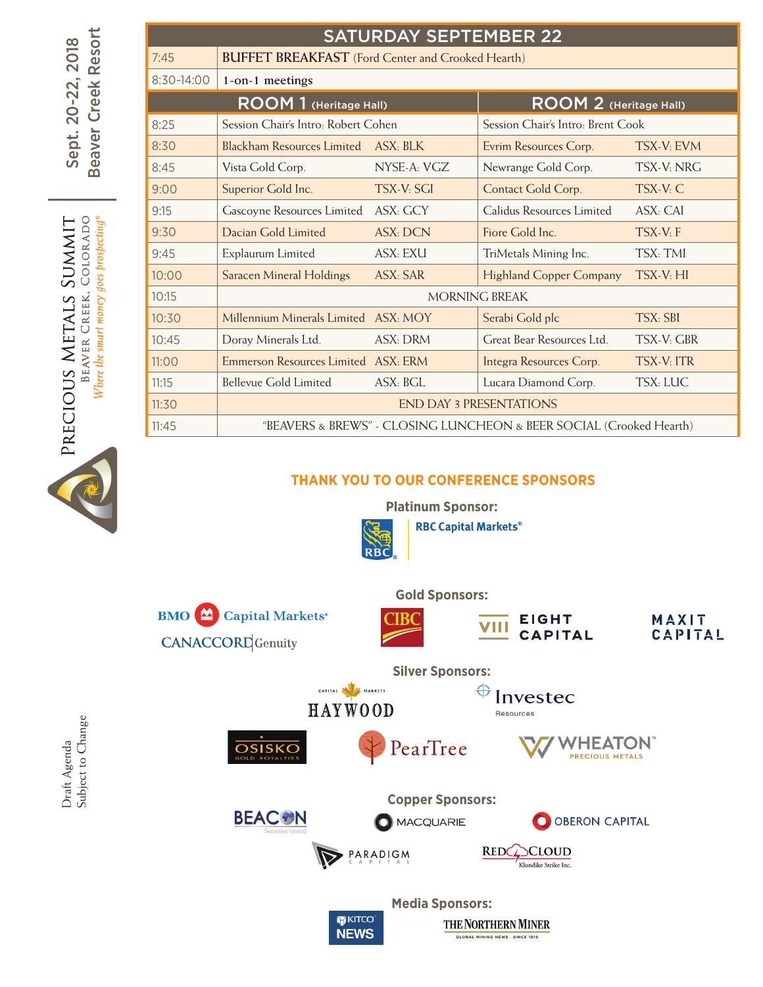|        | <b>SATURDAY SEPTEMBER 22</b> |                                                                     |                 |                                   |                   |  |  |  |  |  |  |
|--------|------------------------------|---------------------------------------------------------------------|-----------------|-----------------------------------|-------------------|--|--|--|--|--|--|
| Resort | 7:45                         | <b>BUFFET BREAKFAST</b> (Ford Center and Crooked Hearth)            |                 |                                   |                   |  |  |  |  |  |  |
| Creek  | $8:30-14:00$                 | 1-on-1 meetings                                                     |                 |                                   |                   |  |  |  |  |  |  |
|        |                              | ROOM 1 (Heritage Hall)                                              |                 | ROOM 2 (Heritage Hall)            |                   |  |  |  |  |  |  |
|        | 8:25                         | Session Chair's Intro: Robert Cohen                                 |                 | Session Chair's Intro: Brent Cook |                   |  |  |  |  |  |  |
|        | 8:30                         | Blackham Resources Limited                                          | ASX: BLK        | Evrim Resources Corp.             | TSX-V: EVM        |  |  |  |  |  |  |
|        | 8:45                         | Vista Gold Corp.                                                    | NYSE-A: VGZ     | Newrange Gold Corp.               | TSX-V: NRG        |  |  |  |  |  |  |
|        | 9:00                         | Superior Gold Inc.                                                  | TSX-V: SGI      | Contact Gold Corp.                | TSX-V: C          |  |  |  |  |  |  |
|        | 9:15                         | Gascoyne Resources Limited ASX: GCY                                 |                 | Calidus Resources Limited         | ASX: CAI          |  |  |  |  |  |  |
|        | 9:30                         | Dacian Gold Limited                                                 | <b>ASX: DCN</b> | Fiore Gold Inc.                   | TSX-V: F          |  |  |  |  |  |  |
|        | 9:45                         | Explaurum Limited                                                   | ASX: EXU        | TriMetals Mining Inc.             | TSX: TMI          |  |  |  |  |  |  |
|        | 10:00                        | Saracen Mineral Holdings                                            | <b>ASX: SAR</b> | <b>Highland Copper Company</b>    | TSX-V: HI         |  |  |  |  |  |  |
|        | 10:15                        |                                                                     |                 | <b>MORNING BREAK</b>              |                   |  |  |  |  |  |  |
|        | 10:30                        | Millennium Minerals Limited ASX: MOY                                |                 | Serabi Gold plc                   | TSX: SBI          |  |  |  |  |  |  |
|        | 10:45                        | Doray Minerals Ltd.                                                 | ASX: DRM        | Great Bear Resources Ltd.         | TSX-V: GBR        |  |  |  |  |  |  |
|        | 11:00                        | Emmerson Resources Limited ASX: ERM                                 |                 | Integra Resources Corp.           | <b>TSX-V: ITR</b> |  |  |  |  |  |  |
|        | 11:15                        | <b>Bellevue Gold Limited</b>                                        | ASX: BGL        | Lucara Diamond Corp.              | TSX: LUC          |  |  |  |  |  |  |
|        | 11:30                        | <b>END DAY 3 PRESENTATIONS</b>                                      |                 |                                   |                   |  |  |  |  |  |  |
|        | 11:45                        | "BEAVERS & BREWS" - CLOSING LUNCHEON & BEER SOCIAL (Crooked Hearth) |                 |                                   |                   |  |  |  |  |  |  |

## **Thank You to our Conference Sponsors**



**Media Sponsors:**

THE NORTHERN MINER

**GLOBAL MINING NEWS - SINCE 1915** 

KITCO

**NEWS** 

Draft Agenda<br>Subject to Change Subject to ChangeDraft Agenda

Sept. 20-22, 2018 Beaver Creek Resort

BEAVER CREEK, COLORADO

PRECIOUS METALS SUMMIT

Sept. 20-22, 2018